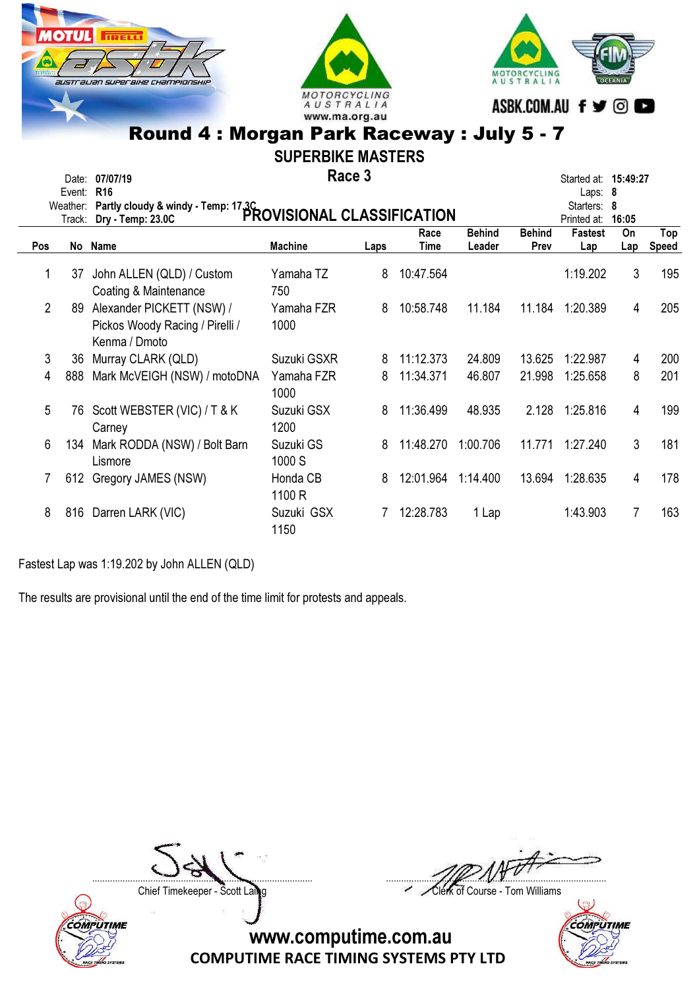





SUPERBIKE MASTERS

Race 3 Date: 07/07/19 **Started at: 15:49:27 Race 3 Started at: 15:49:27** 

|                | Event: R16<br>Weather:<br>Track: | Partly cloudy & windy - Temp: 17.3C<br>PROVISIONAL CLASSIFICATION             |                     |      | Laps: $8$<br>Starters:<br>- 8<br>Printed at:<br>16:05 |                         |                       |                       |           |                     |
|----------------|----------------------------------|-------------------------------------------------------------------------------|---------------------|------|-------------------------------------------------------|-------------------------|-----------------------|-----------------------|-----------|---------------------|
| Pos            |                                  | No Name                                                                       | <b>Machine</b>      | Laps | Race<br>Time                                          | <b>Behind</b><br>Leader | <b>Behind</b><br>Prev | <b>Fastest</b><br>Lap | On<br>Lap | Top<br><b>Speed</b> |
|                | 37                               | John ALLEN (QLD) / Custom<br>Coating & Maintenance                            | Yamaha TZ<br>750    | 8    | 10:47.564                                             |                         |                       | 1:19.202              | 3         | 195                 |
| $\overline{2}$ | 89                               | Alexander PICKETT (NSW) /<br>Pickos Woody Racing / Pirelli /<br>Kenma / Dmoto | Yamaha FZR<br>1000  | 8    | 10:58.748                                             | 11.184                  | 11.184                | 1:20.389              | 4         | 205                 |
| 3              | 36                               | Murray CLARK (QLD)                                                            | Suzuki GSXR         | 8    | 11:12.373                                             | 24.809                  | 13.625                | 1:22.987              | 4         | 200                 |
| 4              | 888                              | Mark McVEIGH (NSW) / motoDNA                                                  | Yamaha FZR<br>1000  | 8    | 11:34.371                                             | 46.807                  | 21.998                | 1:25.658              | 8         | 201                 |
| 5              | 76                               | Scott WEBSTER (VIC) / T & K<br>Carney                                         | Suzuki GSX<br>1200  | 8    | 11:36.499                                             | 48.935                  | 2.128                 | 1:25.816              | 4         | 199                 |
| 6              | 134                              | Mark RODDA (NSW) / Bolt Barn<br>Lismore                                       | Suzuki GS<br>1000 S | 8    | 11:48.270                                             | 1:00.706                | 11.771                | 1:27.240              | 3         | 181                 |
|                | 612                              | Gregory JAMES (NSW)                                                           | Honda CB<br>1100 R  | 8    | 12:01.964                                             | 1:14.400                | 13.694                | 1:28.635              | 4         | 178                 |
| 8              | 816                              | Darren LARK (VIC)                                                             | Suzuki GSX<br>1150  |      | 12:28.783                                             | 1 Lap                   |                       | 1:43.903              | 7         | 163                 |

Fastest Lap was 1:19.202 by John ALLEN (QLD)

The results are provisional until the end of the time limit for protests and appeals.

....................................................................................... .......................................................................................

Chief Timekeeper - Scott Laing Chief Timekeeper - Scott Laing



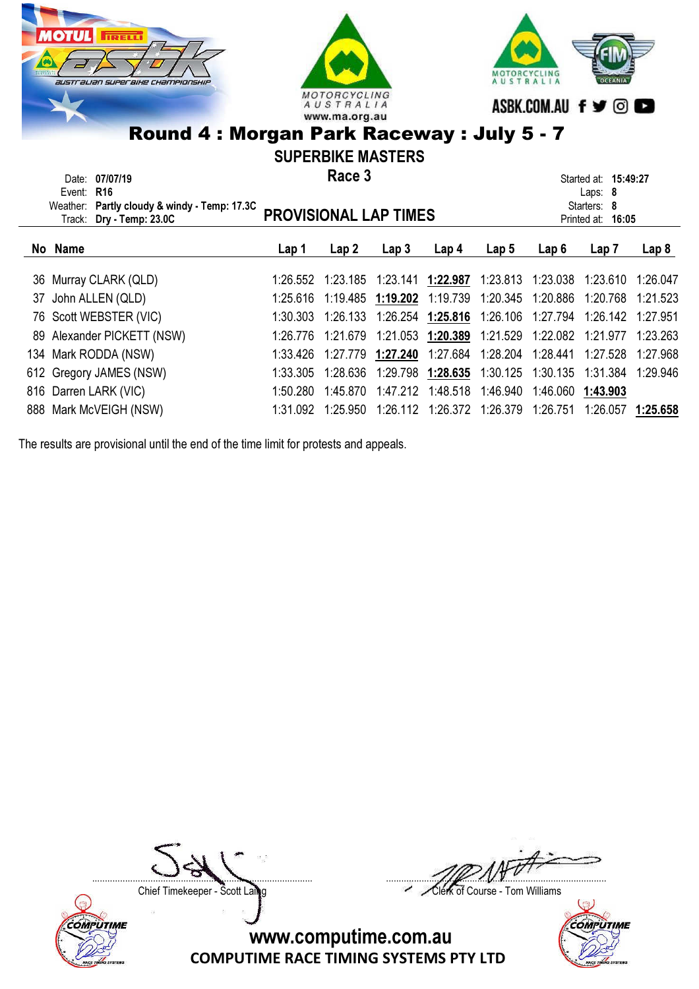



SUPERBIKE MASTERS

| Date: 07/07/19<br>Event: $R16$<br>Weather: Partly cloudy & windy - Temp: 17.3C<br>Track: Dry - Temp: 23.0C | Race 3<br><b>PROVISIONAL LAP TIMES</b> |          |                  |                                                                                |                  | Started at: 15:49:27<br>Laps: $8$<br>Starters: 8<br>Printed at: 16:05 |          |                  |
|------------------------------------------------------------------------------------------------------------|----------------------------------------|----------|------------------|--------------------------------------------------------------------------------|------------------|-----------------------------------------------------------------------|----------|------------------|
| No Name                                                                                                    | Lap 1                                  | Lap 2    | Lap <sub>3</sub> | Lap <sub>4</sub>                                                               | Lap <sub>5</sub> | Lap 6                                                                 | Lap 7    | Lap <sub>8</sub> |
| 36 Murray CLARK (QLD)                                                                                      |                                        |          |                  | 1:26.552  1:23.185  1:23.141  1:22.987  1:23.813  1:23.038  1:23.610  1:26.047 |                  |                                                                       |          |                  |
| 37 John ALLEN (QLD)                                                                                        |                                        |          |                  | 1:25.616 1:19.485 1:19.202 1:19.739 1:20.345 1:20.886 1:20.768 1:21.523        |                  |                                                                       |          |                  |
| 76 Scott WEBSTER (VIC)                                                                                     | 1:30.303                               | 1:26.133 |                  |                                                                                |                  |                                                                       |          |                  |
| 89 Alexander PICKETT (NSW)                                                                                 | 1:26.776                               | 1:21.679 |                  | 1:21.053 1:20.389                                                              |                  |                                                                       | 1:21.977 | 1:23.263         |
| 134 Mark RODDA (NSW)                                                                                       | 1:33.426                               | 1:27.779 | 1:27.240         | 1:27.684  1:28.204  1:28.441                                                   |                  |                                                                       | 1:27.528 | 1:27.968         |

612 Gregory JAMES (NSW) 1:33.305 1:28.636 1:29.798 1:28.635 1:30.125 1:30.135 1:31.384 1:29.946 816 Darren LARK (VIC) 1:50.280 1:45.870 1:47.212 1:48.518 1:46.940 1:46.060 1:43.903 888 Mark McVEIGH (NSW) 1:31.092 1:25.950 1:26.112 1:26.372 1:26.379 1:26.751 1:26.057 1:25.658

The results are provisional until the end of the time limit for protests and appeals.



....................................................................................... .......................................................................................

Chief Timekeeper - Scott Laing Chief Timekeeper - Scott Laing

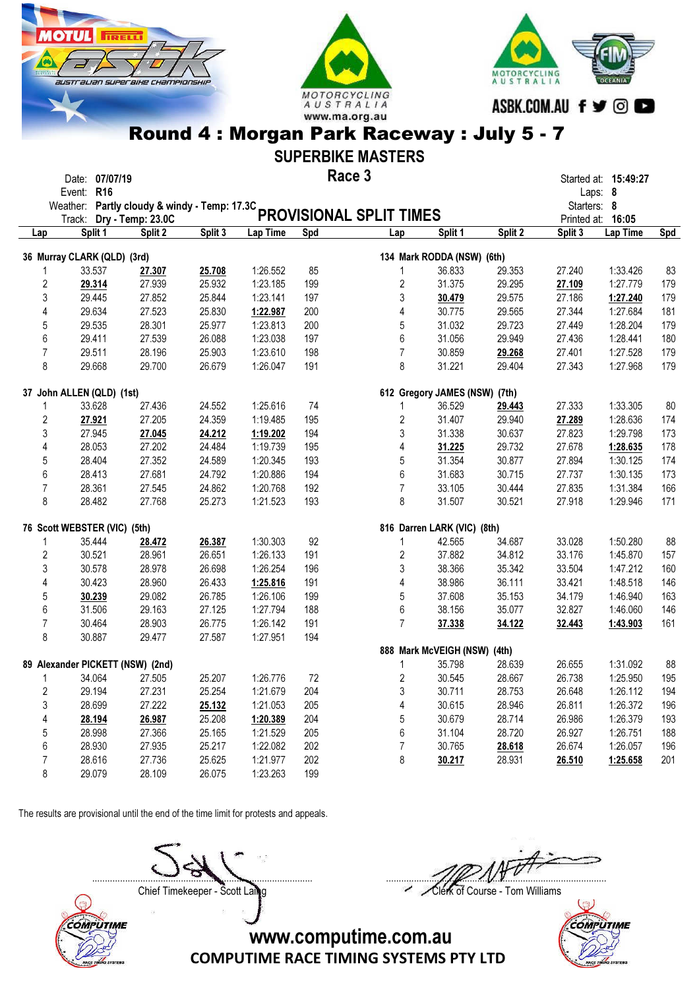





### SUPERBIKE MASTERS

#### Race 3 Date: 07/07/19 **Started at: 15:49:27 Race 3 Started at: 15:49:27**

|                         | Event: R16<br>Weather: Partly cloudy & windy - Temp: 17.3C |         |         |          |     |                                |                               |         | Starters: 8 | Laps: 8           |     |
|-------------------------|------------------------------------------------------------|---------|---------|----------|-----|--------------------------------|-------------------------------|---------|-------------|-------------------|-----|
|                         | Track: Dry - Temp: 23.0C                                   |         |         |          |     | <b>PROVISIONAL SPLIT TIMES</b> |                               |         |             | Printed at: 16:05 |     |
| Lap                     | Split 1                                                    | Split 2 | Split 3 | Lap Time | Spd | Lap                            | Split 1                       | Split 2 | Split 3     | Lap Time          | Spd |
|                         | 36 Murray CLARK (QLD) (3rd)                                |         |         |          |     |                                | 134 Mark RODDA (NSW) (6th)    |         |             |                   |     |
| 1                       | 33.537                                                     | 27.307  | 25.708  | 1:26.552 | 85  | $\mathbf{1}$                   | 36.833                        | 29.353  | 27.240      | 1:33.426          | 83  |
| $\overline{c}$          | 29.314                                                     | 27.939  | 25.932  | 1:23.185 | 199 | $\overline{2}$                 | 31.375                        | 29.295  | 27.109      | 1:27.779          | 179 |
| 3                       | 29.445                                                     | 27.852  | 25.844  | 1:23.141 | 197 | $\mathfrak 3$                  | 30.479                        | 29.575  | 27.186      | 1:27.240          | 179 |
| 4                       | 29.634                                                     | 27.523  | 25.830  | 1:22.987 | 200 | 4                              | 30.775                        | 29.565  | 27.344      | 1:27.684          | 181 |
| 5                       | 29.535                                                     | 28.301  | 25.977  | 1:23.813 | 200 | $\mathbf 5$                    | 31.032                        | 29.723  | 27.449      | 1:28.204          | 179 |
| 6                       | 29.411                                                     | 27.539  | 26.088  | 1:23.038 | 197 | 6                              | 31.056                        | 29.949  | 27.436      | 1:28.441          | 180 |
| $\overline{7}$          | 29.511                                                     | 28.196  | 25.903  | 1:23.610 | 198 | $\overline{7}$                 | 30.859                        | 29.268  | 27.401      | 1:27.528          | 179 |
| 8                       | 29.668                                                     | 29.700  | 26.679  | 1:26.047 | 191 | 8                              | 31.221                        | 29.404  | 27.343      | 1:27.968          | 179 |
|                         | 37 John ALLEN (QLD) (1st)                                  |         |         |          |     |                                | 612 Gregory JAMES (NSW) (7th) |         |             |                   |     |
| 1                       | 33.628                                                     | 27.436  | 24.552  | 1:25.616 | 74  | $\mathbf{1}$                   | 36.529                        | 29.443  | 27.333      | 1:33.305          | 80  |
| $\overline{\mathbf{c}}$ | 27.921                                                     | 27.205  | 24.359  | 1:19.485 | 195 | $\sqrt{2}$                     | 31.407                        | 29.940  | 27.289      | 1:28.636          | 174 |
| 3                       | 27.945                                                     | 27.045  | 24.212  | 1:19.202 | 194 | $\sqrt{3}$                     | 31.338                        | 30.637  | 27.823      | 1:29.798          | 173 |
| 4                       | 28.053                                                     | 27.202  | 24.484  | 1:19.739 | 195 | 4                              | 31.225                        | 29.732  | 27.678      | 1:28.635          | 178 |
| 5                       | 28.404                                                     | 27.352  | 24.589  | 1:20.345 | 193 | 5                              | 31.354                        | 30.877  | 27.894      | 1:30.125          | 174 |
| 6                       | 28.413                                                     | 27.681  | 24.792  | 1:20.886 | 194 | 6                              | 31.683                        | 30.715  | 27.737      | 1:30.135          | 173 |
| $\overline{7}$          | 28.361                                                     | 27.545  | 24.862  | 1:20.768 | 192 | $\overline{7}$                 | 33.105                        | 30.444  | 27.835      | 1:31.384          | 166 |
| 8                       | 28.482                                                     | 27.768  | 25.273  | 1:21.523 | 193 | 8                              | 31.507                        | 30.521  | 27.918      | 1:29.946          | 171 |
|                         | 76 Scott WEBSTER (VIC) (5th)                               |         |         |          |     |                                | 816 Darren LARK (VIC) (8th)   |         |             |                   |     |
| 1                       | 35.444                                                     | 28.472  | 26.387  | 1:30.303 | 92  | $\mathbf{1}$                   | 42.565                        | 34.687  | 33.028      | 1:50.280          | 88  |
| $\overline{c}$          | 30.521                                                     | 28.961  | 26.651  | 1:26.133 | 191 | $\sqrt{2}$                     | 37.882                        | 34.812  | 33.176      | 1:45.870          | 157 |
| 3                       | 30.578                                                     | 28.978  | 26.698  | 1:26.254 | 196 | $\sqrt{3}$                     | 38.366                        | 35.342  | 33.504      | 1:47.212          | 160 |
| 4                       | 30.423                                                     | 28.960  | 26.433  | 1:25.816 | 191 | $\overline{4}$                 | 38.986                        | 36.111  | 33.421      | 1:48.518          | 146 |
| 5                       | 30.239                                                     | 29.082  | 26.785  | 1:26.106 | 199 | 5                              | 37.608                        | 35.153  | 34.179      | 1:46.940          | 163 |
| 6                       | 31.506                                                     | 29.163  | 27.125  | 1:27.794 | 188 | 6                              | 38.156                        | 35.077  | 32.827      | 1:46.060          | 146 |
| $\overline{7}$          | 30.464                                                     | 28.903  | 26.775  | 1:26.142 | 191 | $\overline{7}$                 | 37.338                        | 34.122  | 32.443      | 1:43.903          | 161 |
| 8                       | 30.887                                                     | 29.477  | 27.587  | 1:27.951 | 194 |                                |                               |         |             |                   |     |
|                         |                                                            |         |         |          |     |                                | 888 Mark McVEIGH (NSW) (4th)  |         |             |                   |     |
|                         | 89 Alexander PICKETT (NSW) (2nd)                           |         |         |          |     | $\mathbf{1}$                   | 35.798                        | 28.639  | 26.655      | 1:31.092          | 88  |
| 1                       | 34.064                                                     | 27.505  | 25.207  | 1:26.776 | 72  | $\overline{2}$                 | 30.545                        | 28.667  | 26.738      | 1:25.950          | 195 |
| $\overline{2}$          | 29.194                                                     | 27.231  | 25.254  | 1:21.679 | 204 | 3                              | 30.711                        | 28.753  | 26.648      | 1:26.112          | 194 |
| 3                       | 28.699                                                     | 27.222  | 25.132  | 1:21.053 | 205 | 4                              | 30.615                        | 28.946  | 26.811      | 1:26.372          | 196 |
| 4                       | 28.194                                                     | 26.987  | 25.208  | 1:20.389 | 204 | 5                              | 30.679                        | 28.714  | 26.986      | 1:26.379          | 193 |
| 5                       | 28.998                                                     | 27.366  | 25.165  | 1:21.529 | 205 | 6                              | 31.104                        | 28.720  | 26.927      | 1:26.751          | 188 |
| 6                       | 28.930                                                     | 27.935  | 25.217  | 1:22.082 | 202 | $\overline{7}$                 | 30.765                        | 28.618  | 26.674      | 1:26.057          | 196 |
| 7                       | 28.616                                                     | 27.736  | 25.625  | 1:21.977 | 202 | 8                              | 30.217                        | 28.931  | 26.510      | 1:25.658          | 201 |
| 8                       | 29.079                                                     | 28.109  | 26.075  | 1:23.263 | 199 |                                |                               |         |             |                   |     |

The results are provisional until the end of the time limit for protests and appeals.



Chief Timekeeper - Scott Laing Chief Timekeeper - Scott Laing



COMPUTIME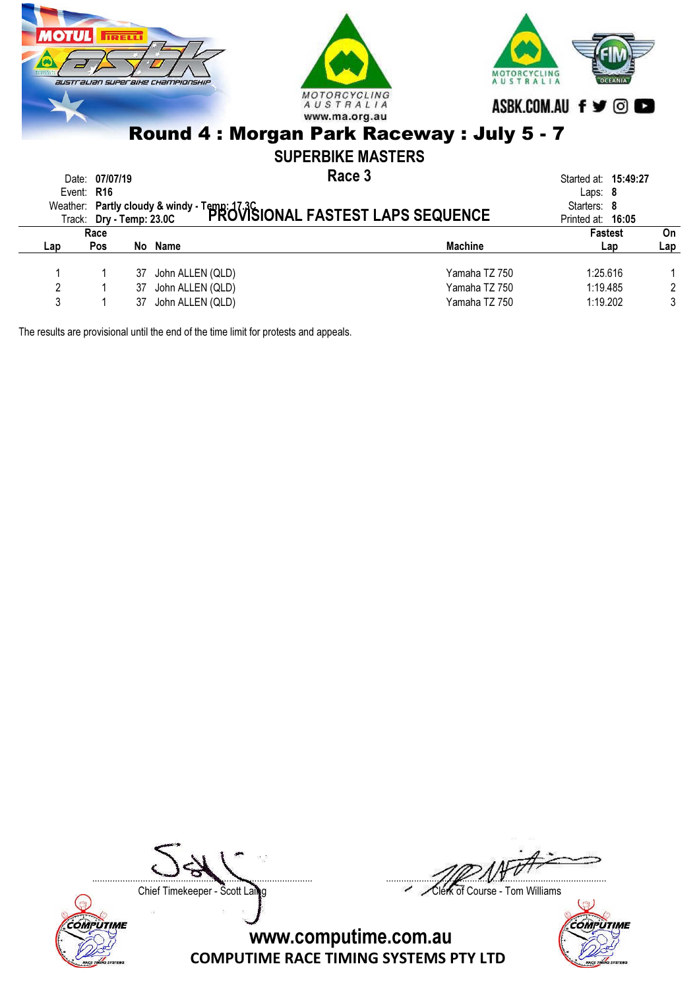

|     | Race |    |                  |                | <b>Fastest</b> | On             |  |
|-----|------|----|------------------|----------------|----------------|----------------|--|
| Lap | Pos  | No | Name             | <b>Machine</b> | $\mathsf{Lap}$ | Lap            |  |
|     |      | 37 | John ALLEN (QLD) | Yamaha TZ 750  | 1:25.616       |                |  |
|     |      | 37 | John ALLEN (QLD) | Yamaha TZ 750  | 1:19.485       | $\overline{c}$ |  |
| າ   |      | 37 | John ALLEN (QLD) | Yamaha TZ 750  | 1:19.202       | 3              |  |
|     |      |    |                  |                |                |                |  |

The results are provisional until the end of the time limit for protests and appeals.



....................................................................................... .......................................................................................

Chief Timekeeper - Scott Laing Chief Timekeeper - Scott Laing

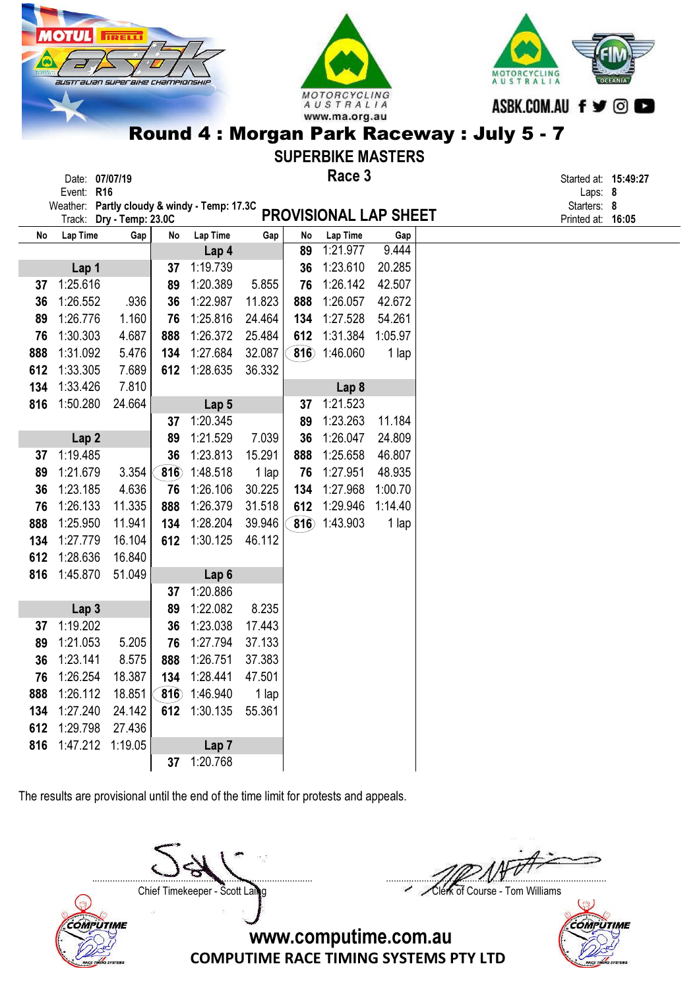|            | Date: 07/07/19                               |    |                 |     |    | Race 3                       |     | Started at: 15:49:27 |  |
|------------|----------------------------------------------|----|-----------------|-----|----|------------------------------|-----|----------------------|--|
| Event: R16 |                                              |    |                 |     |    |                              |     | Laps: $8$            |  |
|            | Weather: Partly cloudy & windy - Temp: 17.3C |    |                 |     |    |                              |     | Starters: 8          |  |
|            | Track: Dry - Temp: 23.0C                     |    |                 |     |    | <b>PROVISIONAL LAP SHEET</b> |     | Printed at: 16:05    |  |
| Lap Time   | Gap                                          | No | <b>Lap Time</b> | Gap | No | Lap Time                     | Gap |                      |  |

MO<sub>7</sub>

Round 4 : Morgan Park Raceway : July 5 - 7

AUSTRALIA www.ma.org.au

LING

SUPERBIKE MASTERS Race 3

| No  | Lap Time         | Gap     | No          | Lap Time         | Gap    | No  | Lap Time         | Gap     |  |
|-----|------------------|---------|-------------|------------------|--------|-----|------------------|---------|--|
|     |                  |         |             | Lap 4            |        | 89  | 1:21.977         | 9.444   |  |
|     | Lap 1            |         | 37          | 1:19.739         |        | 36  | 1:23.610         | 20.285  |  |
| 37  | 1:25.616         |         | 89          | 1:20.389         | 5.855  | 76  | 1:26.142         | 42.507  |  |
| 36  | 1:26.552         | .936    | 36          | 1:22.987         | 11.823 | 888 | 1:26.057         | 42.672  |  |
| 89  | 1:26.776         | 1.160   | 76          | 1:25.816         | 24.464 | 134 | 1:27.528         | 54.261  |  |
| 76  | 1:30.303         | 4.687   | 888         | 1:26.372         | 25.484 | 612 | 1:31.384         | 1:05.97 |  |
| 888 | 1:31.092         | 5.476   | 134         | 1:27.684         | 32.087 | 816 | 1:46.060         | 1 lap   |  |
| 612 | 1:33.305         | 7.689   | 612         | 1:28.635         | 36.332 |     |                  |         |  |
| 134 | 1:33.426         | 7.810   |             |                  |        |     | Lap <sub>8</sub> |         |  |
| 816 | 1:50.280         | 24.664  |             | Lap <sub>5</sub> |        | 37  | 1:21.523         |         |  |
|     |                  |         | 37          | 1:20.345         |        | 89  | 1:23.263         | 11.184  |  |
|     | Lap <sub>2</sub> |         | 89          | 1:21.529         | 7.039  | 36  | 1:26.047         | 24.809  |  |
| 37  | 1:19.485         |         | 36          | 1:23.813         | 15.291 | 888 | 1:25.658         | 46.807  |  |
| 89  | 1:21.679         | 3.354   | $\hat{8}16$ | 1:48.518         | 1 lap  | 76  | 1:27.951         | 48.935  |  |
| 36  | 1:23.185         | 4.636   | 76          | 1:26.106         | 30.225 | 134 | 1:27.968         | 1:00.70 |  |
| 76  | 1:26.133         | 11.335  | 888         | 1:26.379         | 31.518 | 612 | 1:29.946         | 1:14.40 |  |
| 888 | 1:25.950         | 11.941  | 134         | 1:28.204         | 39.946 | 816 | 1:43.903         | 1 lap   |  |
| 134 | 1:27.779         | 16.104  | 612         | 1:30.125         | 46.112 |     |                  |         |  |
| 612 | 1:28.636         | 16.840  |             |                  |        |     |                  |         |  |
| 816 | 1:45.870         | 51.049  |             | Lap <sub>6</sub> |        |     |                  |         |  |
|     |                  |         | 37          | 1:20.886         |        |     |                  |         |  |
|     | Lap <sub>3</sub> |         | 89          | 1:22.082         | 8.235  |     |                  |         |  |
| 37  | 1:19.202         |         | 36          | 1:23.038         | 17.443 |     |                  |         |  |
| 89  | 1:21.053         | 5.205   | 76          | 1:27.794         | 37.133 |     |                  |         |  |
| 36  | 1:23.141         | 8.575   | 888         | 1:26.751         | 37.383 |     |                  |         |  |
| 76  | 1:26.254         | 18.387  | 134         | 1:28.441         | 47.501 |     |                  |         |  |
| 888 | 1:26.112         | 18.851  | 816         | 1:46.940         | 1 lap  |     |                  |         |  |
| 134 | 1:27.240         | 24.142  | 612         | 1:30.135         | 55.361 |     |                  |         |  |
| 612 | 1:29.798         | 27.436  |             |                  |        |     |                  |         |  |
| 816 | 1:47.212         | 1:19.05 |             | Lap <sub>7</sub> |        |     |                  |         |  |
|     |                  |         | 37          | 1:20.768         |        |     |                  |         |  |

The results are provisional until the end of the time limit for protests and appeals.

....................................................................................... .......................................................................................

MOTORCYCLING

ASBK.COM.AU f y © D

AUSTRAL

Chief Timekeeper - Scott Laing Chief Timekeeper - Scott Laing



COMPUTIME RACE TIMING SYSTEMS PTY LTD www.computime.com.au

COMPUTIME

**IRELL** 

australian superaixe championski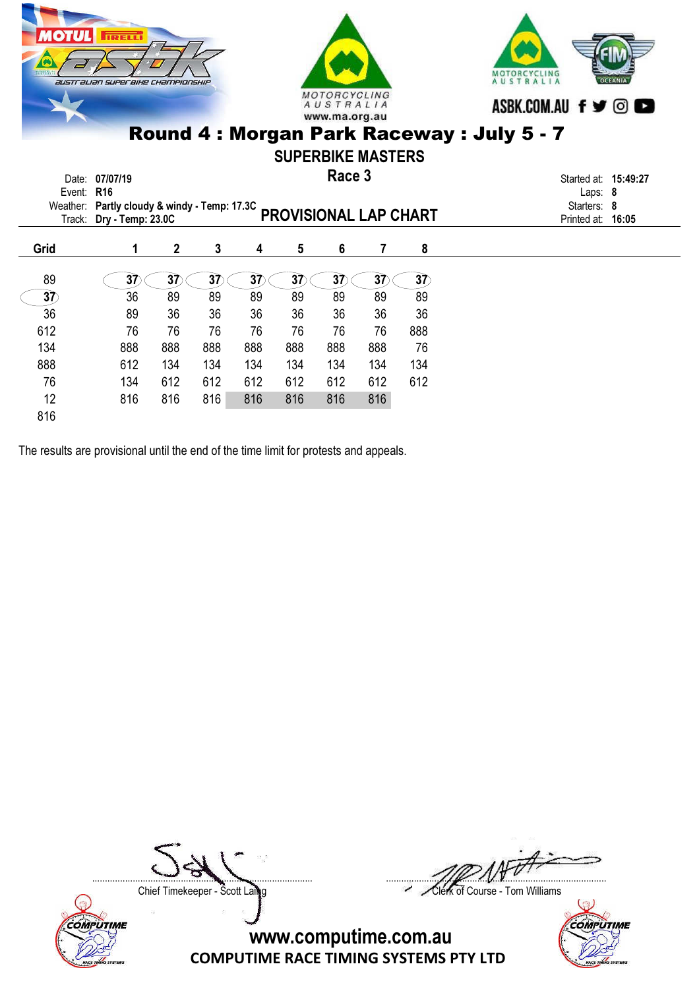

612 76 76 76 76 76 76 76 888 134 888 888 888 888 888 888 888 76 888 612 134 134 134 134 134 134 134 76 134 612 612 612 612 612 612 612

12 816 816 816 816 816 816 816

The results are provisional until the end of the time limit for protests and appeals.



Chief Timekeeper - Scott Laing Chief Timekeeper - Scott Laing





816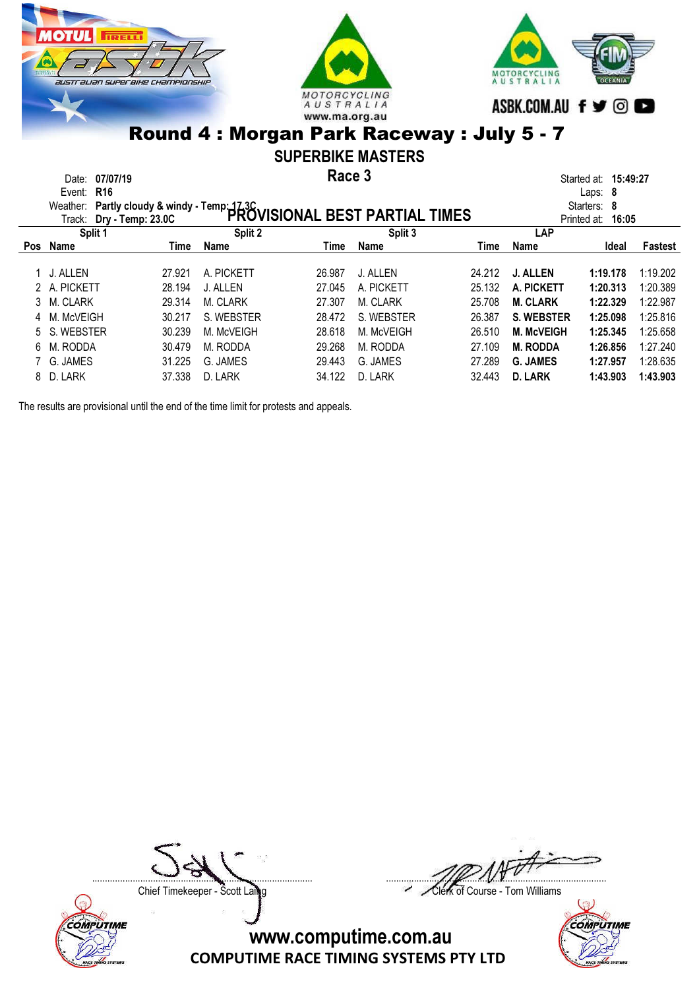





### SUPERBIKE MASTERS

Race 3 Date: 07/07/19 **Started at: 15:49:27 Race 3 Started at: 15:49:27** 

|     | Event: R16<br>Laps: $8$                                                                                           |        |            |        |            |        |                      |             |          |  |
|-----|-------------------------------------------------------------------------------------------------------------------|--------|------------|--------|------------|--------|----------------------|-------------|----------|--|
|     | Weather:                                                                                                          |        |            |        |            |        |                      | Starters: 8 |          |  |
|     | Partly cloudy & windy - Temp: 17.3C<br>Dr. Tamp: 23.0C PROVISIONAL BEST PARTIAL TIMES<br>Track: Dry - Temp: 23.0C |        |            |        |            |        | Printed at:<br>16:05 |             |          |  |
|     | Split 1                                                                                                           |        | Split 2    |        | Split 3    |        | <b>LAP</b>           |             |          |  |
| Pos | Name                                                                                                              | Time   | Name       | Time   | Name       | Time   | Name                 | Ideal       | Fastest  |  |
|     | 1 J. ALLEN                                                                                                        | 27.921 | A. PICKETT | 26.987 | J. ALLEN   | 24.212 | <b>J. ALLEN</b>      | 1:19.178    | 1:19.202 |  |
|     |                                                                                                                   |        |            |        |            |        |                      |             |          |  |
|     | 2 A. PICKETT                                                                                                      | 28.194 | J. ALLEN   | 27.045 | A. PICKETT | 25.132 | A. PICKETT           | 1:20.313    | 1:20.389 |  |
|     | 3 M. CLARK                                                                                                        | 29.314 | M. CLARK   | 27.307 | M. CLARK   | 25.708 | <b>M. CLARK</b>      | 1:22.329    | 1:22.987 |  |
|     | 4 M. McVEIGH                                                                                                      | 30.217 | S. WEBSTER | 28.472 | S. WEBSTER | 26.387 | <b>S. WEBSTER</b>    | 1:25.098    | 1:25.816 |  |
|     | 5 S. WEBSTER                                                                                                      | 30.239 | M. McVEIGH | 28.618 | M. McVEIGH | 26.510 | <b>M. McVEIGH</b>    | 1:25.345    | 1:25.658 |  |
| 6.  | M. RODDA                                                                                                          | 30.479 | M. RODDA   | 29.268 | M. RODDA   | 27.109 | <b>M. RODDA</b>      | 1:26.856    | 1:27.240 |  |
|     | 7 G. JAMES                                                                                                        | 31.225 | G. JAMES   | 29.443 | G. JAMES   | 27.289 | <b>G. JAMES</b>      | 1:27.957    | 1:28.635 |  |
| 8.  | D. LARK                                                                                                           | 37.338 | D. LARK    | 34.122 | D. LARK    | 32.443 | <b>D. LARK</b>       | 1:43.903    | 1:43.903 |  |

The results are provisional until the end of the time limit for protests and appeals.





....................................................................................... .......................................................................................

Chief Timekeeper - Scott Laing Chief Timekeeper - Scott Laing

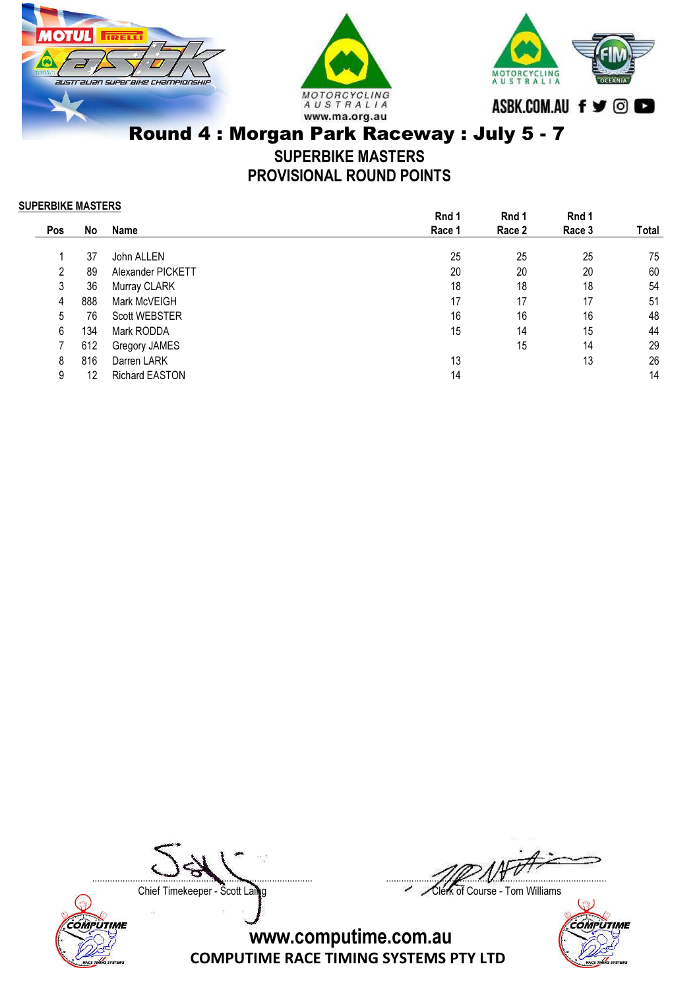





SUPERBIKE MASTERS PROVISIONAL ROUND POINTS

SUPERBIKE MASTERS

|     |     |                       | Rnd 1  | Rnd 1  | Rnd 1  |       |
|-----|-----|-----------------------|--------|--------|--------|-------|
| Pos | No  | <b>Name</b>           | Race 1 | Race 2 | Race 3 | Total |
|     |     |                       |        |        |        |       |
|     | 37  | John ALLEN            | 25     | 25     | 25     | 75    |
| 2   | 89  | Alexander PICKETT     | 20     | 20     | 20     | 60    |
| 3   | 36  | Murray CLARK          | 18     | 18     | 18     | 54    |
| 4   | 888 | Mark McVEIGH          | 17     | 17     | 17     | 51    |
| 5   | 76  | <b>Scott WEBSTER</b>  | 16     | 16     | 16     | 48    |
| 6   | 134 | Mark RODDA            | 15     | 14     | 15     | 44    |
|     | 612 | Gregory JAMES         |        | 15     | 14     | 29    |
| 8   | 816 | Darren LARK           | 13     |        | 13     | 26    |
| 9   | 12  | <b>Richard EASTON</b> | 14     |        |        | 14    |



....................................................................................... .......................................................................................

Chief Timekeeper - Scott Laing Chief Timekeeper - Scott Laing

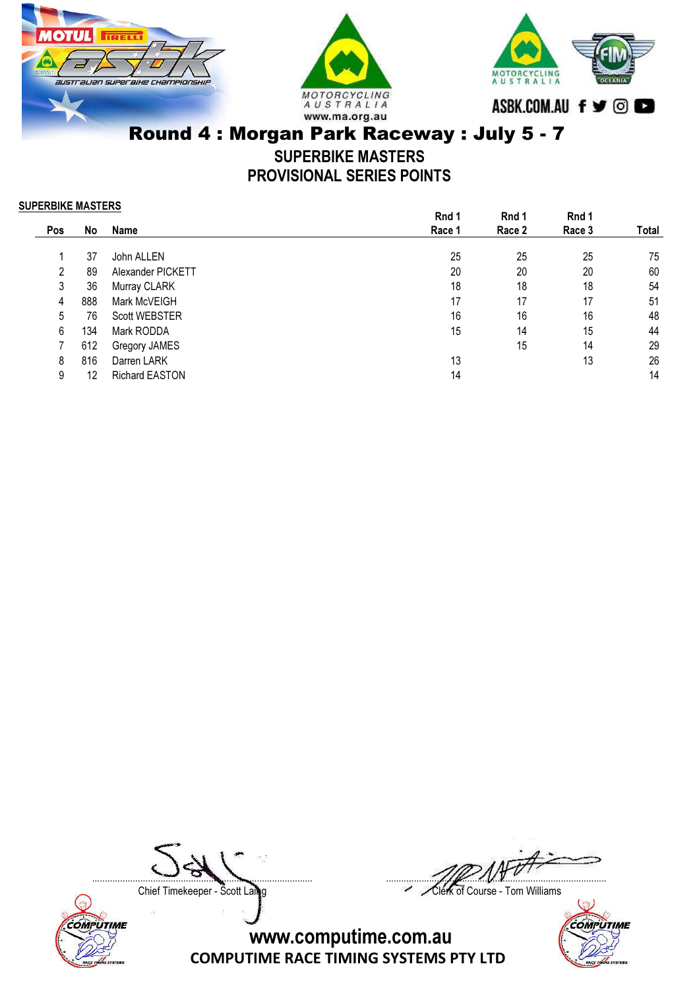





SUPERBIKE MASTERS PROVISIONAL SERIES POINTS

SUPERBIKE MASTERS

|     |                       | Rnd 1  | Rnd 1  | Rnd 1  |       |
|-----|-----------------------|--------|--------|--------|-------|
| No  | <b>Name</b>           | Race 1 | Race 2 | Race 3 | Total |
|     |                       |        |        |        |       |
| 37  | John ALLEN            | 25     | 25     | 25     | 75    |
| 89  | Alexander PICKETT     | 20     | 20     | 20     | 60    |
| 36  | Murray CLARK          | 18     | 18     | 18     | 54    |
| 888 | Mark McVEIGH          | 17     | 17     | 17     | 51    |
| 76  | <b>Scott WEBSTER</b>  | 16     | 16     | 16     | 48    |
| 134 | Mark RODDA            | 15     | 14     | 15     | 44    |
| 612 | Gregory JAMES         |        | 15     | 14     | 29    |
| 816 | Darren LARK           | 13     |        | 13     | 26    |
| 12  | <b>Richard EASTON</b> | 14     |        |        | 14    |
|     |                       |        |        |        |       |



....................................................................................... .......................................................................................

Chief Timekeeper - Scott Laing Chief Timekeeper - Scott Laing